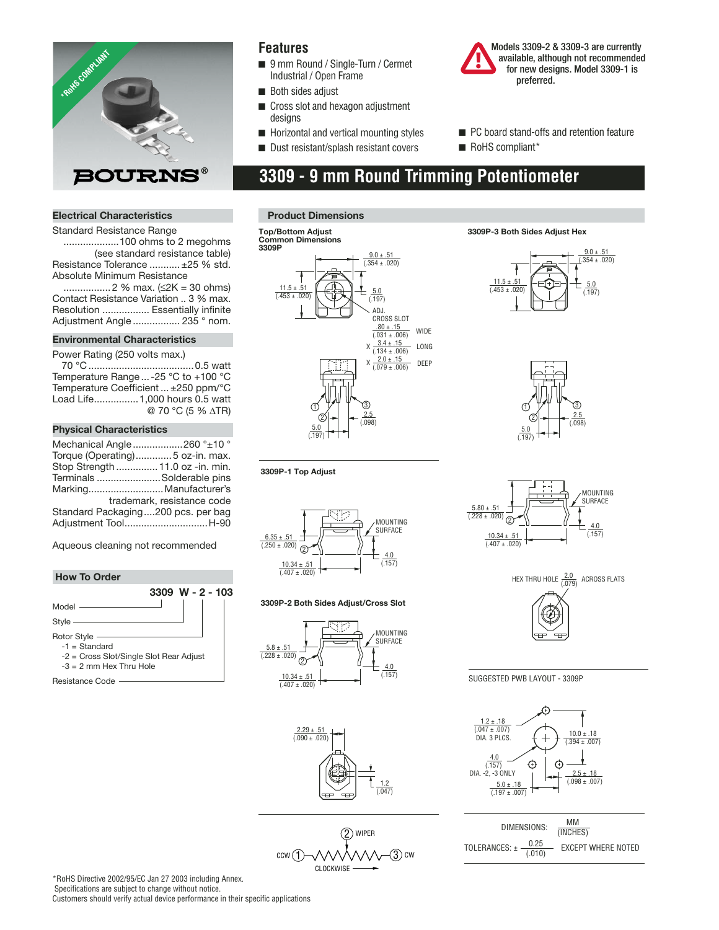

### **Features**

- 9 mm Round / Single-Turn / Cermet Industrial / Open Frame
- Both sides adjust
- Cross slot and hexagon adjustment designs
- Horizontal and vertical mounting styles
- Dust resistant/splash resistant covers



- PC board stand-offs and retention feature
- RoHS compliant\*

# **3309 - 9 mm Round Trimming Potentiometer**

### **Electrical Characteristics**

Standard Resistance Range ....................100 ohms to 2 megohms (see standard resistance table) Resistance Tolerance ........... ±25 % std. Absolute Minimum Resistance

 ................. 2 % max. (≤2K = 30 ohms) Contact Resistance Variation .. 3 % max. Resolution ................. Essentially infinite Adjustment Angle ................. 235 ° nom.

#### **Environmental Characteristics**

Power Rating (250 volts max.)

 70 °C ......................................0.5 watt Temperature Range ... -25 °C to +100 °C Temperature Coefficient ... ±250 ppm/°C Load Life................1,000 hours 0.5 watt @ 70 °C (5 % ∆TR)

#### **Physical Characteristics**

| Mechanical Angle 260 ° ± 10 °      |                            |
|------------------------------------|----------------------------|
| Torque (Operating)5 oz-in. max.    |                            |
| Stop Strength  11.0 oz -in. min.   |                            |
| Terminals Solderable pins          |                            |
| Marking Manufacturer's             |                            |
|                                    | trademark, resistance code |
| Standard Packaging200 pcs. per bag |                            |
| Adjustment ToolH-90                |                            |
|                                    |                            |

Aqueous cleaning not recommended

### **How To Order**



**Product Dimensions**



**3309P-3 Both Sides Adjust Hex**









SUGGESTED PWB LAYOUT - 3309P



| DIMENSIONS:                        | MМ<br>(INCHES)            |
|------------------------------------|---------------------------|
| 0.25<br>TOLERANCES: ± -<br>(0.010) | <b>EXCEPT WHERE NOTED</b> |



 $6.35 \pm .51$  $(0.250 \pm 0.020)$ MOUNTING SURFACE 2

> $10.34 \pm .51$  $(0.407 + 0.020)$

**3309P-1 Top Adjust**

### **3309P-2 Both Sides Adjust/Cross Slot**

4.0 (.157)

1.2 (.047)



 $\frac{2.29 \pm .51}{(.090 \pm .020)}$